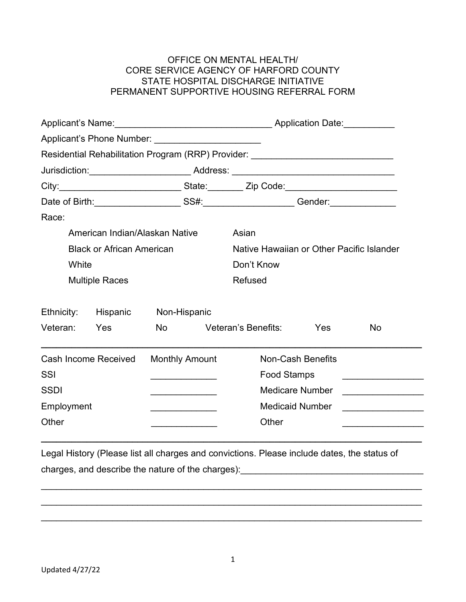## OFFICE ON MENTAL HEALTH/ CORE SERVICE AGENCY OF HARFORD COUNTY STATE HOSPITAL DISCHARGE INITIATIVE PERMANENT SUPPORTIVE HOUSING REFERRAL FORM

| Applicant's Phone Number: _________________________                              |                                |                       |                          |                                                                                  |                    |                                                 |  |
|----------------------------------------------------------------------------------|--------------------------------|-----------------------|--------------------------|----------------------------------------------------------------------------------|--------------------|-------------------------------------------------|--|
|                                                                                  |                                |                       |                          |                                                                                  |                    |                                                 |  |
|                                                                                  |                                |                       |                          | Residential Rehabilitation Program (RRP) Provider: _____________________________ |                    |                                                 |  |
|                                                                                  |                                |                       |                          |                                                                                  |                    |                                                 |  |
| City:_______________________________State:__________Zip Code:___________________ |                                |                       |                          |                                                                                  |                    |                                                 |  |
|                                                                                  |                                |                       |                          |                                                                                  |                    |                                                 |  |
| Race:                                                                            |                                |                       |                          |                                                                                  |                    |                                                 |  |
|                                                                                  | American Indian/Alaskan Native |                       |                          | Asian                                                                            |                    |                                                 |  |
| <b>Black or African American</b>                                                 |                                |                       |                          | Native Hawaiian or Other Pacific Islander                                        |                    |                                                 |  |
| White                                                                            |                                |                       |                          | Don't Know                                                                       |                    |                                                 |  |
| <b>Multiple Races</b>                                                            |                                |                       |                          | <b>Refused</b>                                                                   |                    |                                                 |  |
| Ethnicity:                                                                       | Hispanic                       | Non-Hispanic          |                          |                                                                                  |                    |                                                 |  |
| Veteran:                                                                         | Yes                            | <b>No</b>             |                          | Veteran's Benefits:                                                              | Yes                | No                                              |  |
| <b>Cash Income Received</b>                                                      |                                | <b>Monthly Amount</b> | <b>Non-Cash Benefits</b> |                                                                                  |                    |                                                 |  |
| SSI                                                                              |                                |                       |                          |                                                                                  | <b>Food Stamps</b> |                                                 |  |
| <b>SSDI</b>                                                                      |                                |                       |                          | <b>Medicare Number</b>                                                           |                    | <u> 1980 - John Stein, Amerikaansk kanton (</u> |  |
| Employment                                                                       |                                |                       |                          | <b>Medicaid Number</b>                                                           |                    |                                                 |  |
| Other                                                                            |                                |                       |                          | Other                                                                            |                    |                                                 |  |
|                                                                                  |                                |                       |                          |                                                                                  |                    |                                                 |  |

Legal History (Please list all charges and convictions. Please include dates, the status of charges, and describe the nature of the charges): \_\_\_\_\_\_\_\_\_\_\_\_\_\_\_\_\_\_\_\_\_\_\_\_\_\_\_\_\_\_

\_\_\_\_\_\_\_\_\_\_\_\_\_\_\_\_\_\_\_\_\_\_\_\_\_\_\_\_\_\_\_\_\_\_\_\_\_\_\_\_\_\_\_\_\_\_\_\_\_\_\_\_\_\_\_\_\_\_\_\_\_\_\_\_\_\_\_\_\_\_\_\_\_\_\_

\_\_\_\_\_\_\_\_\_\_\_\_\_\_\_\_\_\_\_\_\_\_\_\_\_\_\_\_\_\_\_\_\_\_\_\_\_\_\_\_\_\_\_\_\_\_\_\_\_\_\_\_\_\_\_\_\_\_\_\_\_\_\_\_\_\_\_\_\_\_\_\_\_\_\_

\_\_\_\_\_\_\_\_\_\_\_\_\_\_\_\_\_\_\_\_\_\_\_\_\_\_\_\_\_\_\_\_\_\_\_\_\_\_\_\_\_\_\_\_\_\_\_\_\_\_\_\_\_\_\_\_\_\_\_\_\_\_\_\_\_\_\_\_\_\_\_\_\_\_\_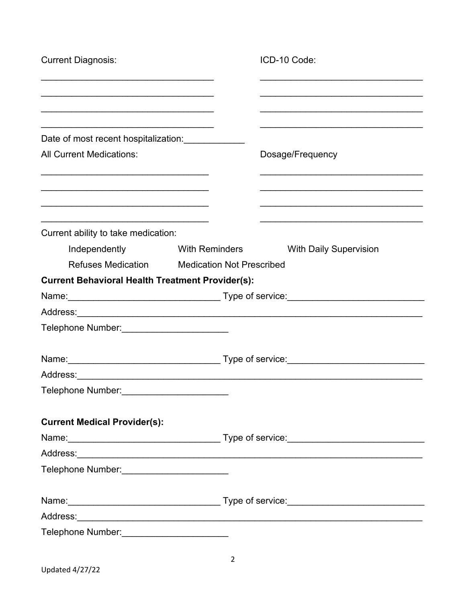| <b>Current Diagnosis:</b>                                                                                            |                                  | ICD-10 Code:                  |
|----------------------------------------------------------------------------------------------------------------------|----------------------------------|-------------------------------|
|                                                                                                                      |                                  |                               |
|                                                                                                                      |                                  |                               |
| Date of most recent hospitalization: Date of most recent hospitalization:                                            |                                  |                               |
| <b>All Current Medications:</b>                                                                                      |                                  | Dosage/Frequency              |
|                                                                                                                      |                                  |                               |
| <u> 1989 - Johann John Harry Harry Harry Harry Harry Harry Harry Harry Harry Harry Harry Harry Harry Harry Harry</u> |                                  |                               |
| Current ability to take medication:                                                                                  |                                  |                               |
| Independently                                                                                                        | <b>Example 13 With Reminders</b> | <b>With Daily Supervision</b> |
| Refuses Medication Medication Not Prescribed                                                                         |                                  |                               |
| <b>Current Behavioral Health Treatment Provider(s):</b>                                                              |                                  |                               |
|                                                                                                                      |                                  |                               |
|                                                                                                                      |                                  |                               |
| Telephone Number: ________________________                                                                           |                                  |                               |
|                                                                                                                      |                                  |                               |
|                                                                                                                      |                                  |                               |
| Telephone Number:                                                                                                    |                                  |                               |
| <b>Current Medical Provider(s):</b>                                                                                  |                                  |                               |
|                                                                                                                      |                                  |                               |
|                                                                                                                      |                                  |                               |
| Telephone Number: __________________________                                                                         |                                  |                               |
|                                                                                                                      |                                  |                               |
|                                                                                                                      |                                  |                               |
| Telephone Number:____________________________                                                                        |                                  |                               |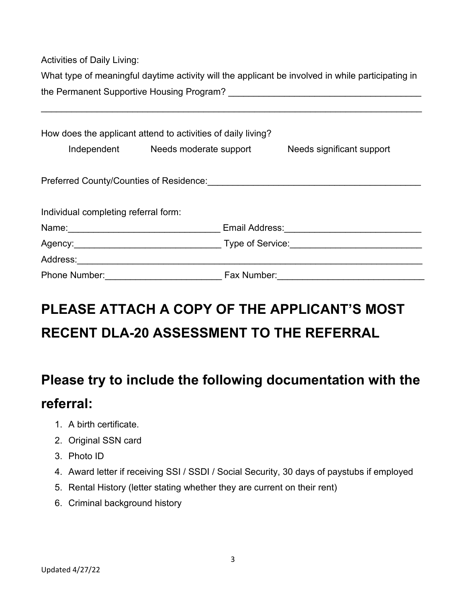Activities of Daily Living:

|                                           | What type of meaningful daytime activity will the applicant be involved in while participating in |
|-------------------------------------------|---------------------------------------------------------------------------------------------------|
| the Permanent Supportive Housing Program? |                                                                                                   |

\_\_\_\_\_\_\_\_\_\_\_\_\_\_\_\_\_\_\_\_\_\_\_\_\_\_\_\_\_\_\_\_\_\_\_\_\_\_\_\_\_\_\_\_\_\_\_\_\_\_\_\_\_\_\_\_\_\_\_\_\_\_\_\_\_\_\_\_\_\_\_\_\_\_\_

| How does the applicant attend to activities of daily living?                                                                                                                                                                   |                                    |                  |                           |  |  |  |  |  |
|--------------------------------------------------------------------------------------------------------------------------------------------------------------------------------------------------------------------------------|------------------------------------|------------------|---------------------------|--|--|--|--|--|
|                                                                                                                                                                                                                                | Independent Needs moderate support |                  | Needs significant support |  |  |  |  |  |
| Preferred County/Counties of Residence:                                                                                                                                                                                        |                                    |                  |                           |  |  |  |  |  |
| Individual completing referral form:                                                                                                                                                                                           |                                    |                  |                           |  |  |  |  |  |
| Name: Name and the second state of the second state of the second state of the second state of the second state of the second state of the second state of the second state of the second state of the second state of the sec |                                    | Email Address:   |                           |  |  |  |  |  |
|                                                                                                                                                                                                                                |                                    | Type of Service: |                           |  |  |  |  |  |
| Address:                                                                                                                                                                                                                       |                                    |                  |                           |  |  |  |  |  |
| <b>Phone Number:</b>                                                                                                                                                                                                           |                                    | Fax Number:      |                           |  |  |  |  |  |

## **PLEASE ATTACH A COPY OF THE APPLICANT'S MOST RECENT DLA-20 ASSESSMENT TO THE REFERRAL**

## **Please try to include the following documentation with the referral:**

- 1. A birth certificate.
- 2. Original SSN card
- 3. Photo ID
- 4. Award letter if receiving SSI / SSDI / Social Security, 30 days of paystubs if employed
- 5. Rental History (letter stating whether they are current on their rent)
- 6. Criminal background history